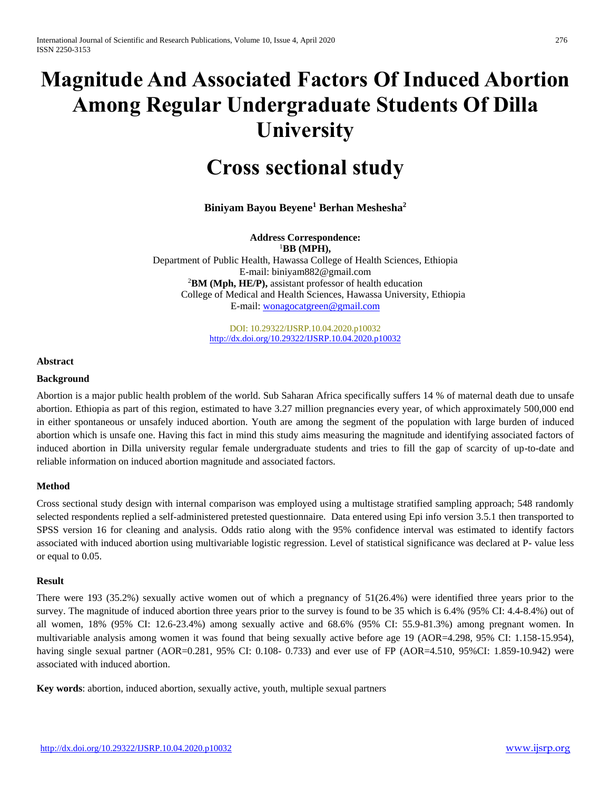# **Magnitude And Associated Factors Of Induced Abortion Among Regular Undergraduate Students Of Dilla University**

# **Cross sectional study**

**Biniyam Bayou Beyene<sup>1</sup> Berhan Meshesha<sup>2</sup>**

**Address Correspondence:** <sup>1</sup>**BB (MPH),** Department of Public Health, Hawassa College of Health Sciences, Ethiopia E-mail: biniyam882@gmail.com <sup>2</sup>**BM (Mph, HE/P),** assistant professor of health education College of Medical and Health Sciences, Hawassa University, Ethiopia E-mail[: wonagocatgreen@gmail.com](mailto:wonagocatgreen@gmail.com)

> DOI: 10.29322/IJSRP.10.04.2020.p10032 <http://dx.doi.org/10.29322/IJSRP.10.04.2020.p10032>

**Abstract** 

#### **Background**

Abortion is a major public health problem of the world. Sub Saharan Africa specifically suffers 14 % of maternal death due to unsafe abortion. Ethiopia as part of this region, estimated to have 3.27 million pregnancies every year, of which approximately 500,000 end in either spontaneous or unsafely induced abortion. Youth are among the segment of the population with large burden of induced abortion which is unsafe one. Having this fact in mind this study aims measuring the magnitude and identifying associated factors of induced abortion in Dilla university regular female undergraduate students and tries to fill the gap of scarcity of up-to-date and reliable information on induced abortion magnitude and associated factors.

#### **Method**

Cross sectional study design with internal comparison was employed using a multistage stratified sampling approach; 548 randomly selected respondents replied a self-administered pretested questionnaire. Data entered using Epi info version 3.5.1 then transported to SPSS version 16 for cleaning and analysis. Odds ratio along with the 95% confidence interval was estimated to identify factors associated with induced abortion using multivariable logistic regression. Level of statistical significance was declared at P- value less or equal to 0.05.

#### **Result**

There were 193 (35.2%) sexually active women out of which a pregnancy of 51(26.4%) were identified three years prior to the survey. The magnitude of induced abortion three years prior to the survey is found to be 35 which is 6.4% (95% CI: 4.4-8.4%) out of all women, 18% (95% CI: 12.6-23.4%) among sexually active and 68.6% (95% CI: 55.9-81.3%) among pregnant women. In multivariable analysis among women it was found that being sexually active before age 19 (AOR=4.298, 95% CI: 1.158-15.954), having single sexual partner (AOR=0.281, 95% CI: 0.108- 0.733) and ever use of FP (AOR=4.510, 95%CI: 1.859-10.942) were associated with induced abortion.

**Key words**: abortion, induced abortion, sexually active, youth, multiple sexual partners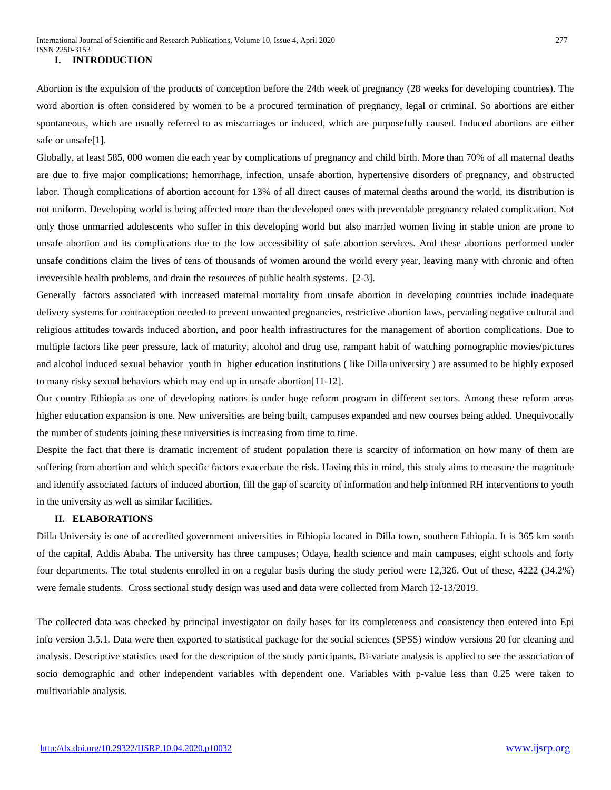#### **I. INTRODUCTION**

Abortion is the expulsion of the products of conception before the 24th week of pregnancy (28 weeks for developing countries). The word abortion is often considered by women to be a procured termination of pregnancy, legal or criminal. So abortions are either spontaneous, which are usually referred to as miscarriages or induced, which are purposefully caused. Induced abortions are either safe or unsafe[1].

Globally, at least 585, 000 women die each year by complications of pregnancy and child birth. More than 70% of all maternal deaths are due to five major complications: hemorrhage, infection, unsafe abortion, hypertensive disorders of pregnancy, and obstructed labor. Though complications of abortion account for 13% of all direct causes of maternal deaths around the world, its distribution is not uniform. Developing world is being affected more than the developed ones with preventable pregnancy related complication. Not only those unmarried adolescents who suffer in this developing world but also married women living in stable union are prone to unsafe abortion and its complications due to the low accessibility of safe abortion services. And these abortions performed under unsafe conditions claim the lives of tens of thousands of women around the world every year, leaving many with chronic and often irreversible health problems, and drain the resources of public health systems. [2-3].

Generally factors associated with increased maternal mortality from unsafe abortion in developing countries include inadequate delivery systems for contraception needed to prevent unwanted [pregnancies,](http://europepmc.org/abstract/MED/17169222/?whatizit_url_go_term=http://www.ebi.ac.uk/ego/GTerm?id=GO:0007565) restrictive abortion laws, pervading negative cultural and religious attitudes towards induced abortion, and poor health infrastructures for the management of abortion complications. Due to multiple factors like peer pressure, lack of maturity, alcohol and drug use, rampant habit of watching pornographic movies/pictures and alcohol induced sexual behavior youth in higher education institutions ( like Dilla university ) are assumed to be highly exposed to many risky sexual behaviors which may end up in unsafe abortion[11-12].

Our country Ethiopia as one of developing nations is under huge reform program in different sectors. Among these reform areas higher education expansion is one. New universities are being built, campuses expanded and new courses being added. Unequivocally the number of students joining these universities is increasing from time to time.

Despite the fact that there is dramatic increment of student population there is scarcity of information on how many of them are suffering from abortion and which specific factors exacerbate the risk. Having this in mind, this study aims to measure the magnitude and identify associated factors of induced abortion, fill the gap of scarcity of information and help informed RH interventions to youth in the university as well as similar facilities.

# **II. ELABORATIONS**

Dilla University is one of accredited government universities in Ethiopia located in Dilla town, southern Ethiopia. It is 365 km south of the capital, Addis Ababa. The university has three campuses; Odaya, health science and main campuses, eight schools and forty four departments. The total students enrolled in on a regular basis during the study period were 12,326. Out of these, 4222 (34.2%) were female students. Cross sectional study design was used and data were collected from March 12-13/2019.

The collected data was checked by principal investigator on daily bases for its completeness and consistency then entered into Epi info version 3.5.1. Data were then exported to statistical package for the social sciences (SPSS) window versions 20 for cleaning and analysis. Descriptive statistics used for the description of the study participants. Bi-variate analysis is applied to see the association of socio demographic and other independent variables with dependent one. Variables with p-value less than 0.25 were taken to multivariable analysis.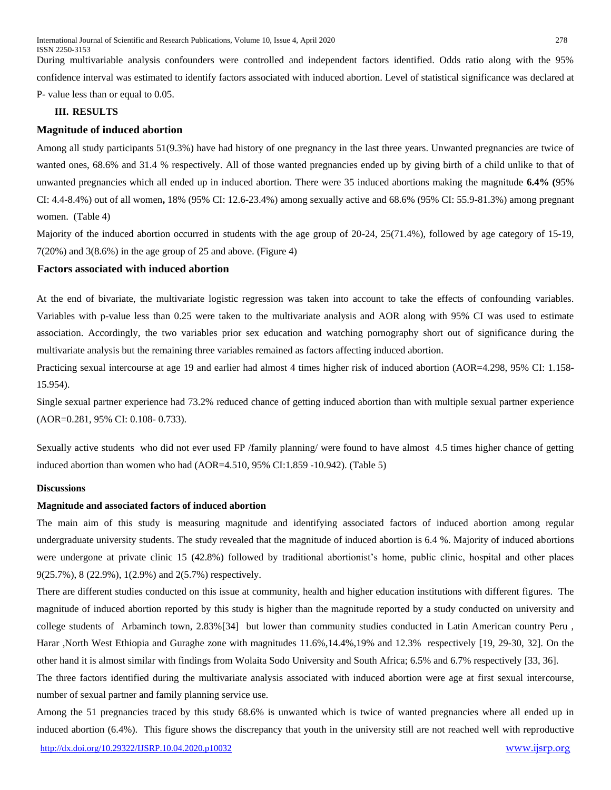During multivariable analysis confounders were controlled and independent factors identified. Odds ratio along with the 95% confidence interval was estimated to identify factors associated with induced abortion. Level of statistical significance was declared at P- value less than or equal to 0.05.

# **III. RESULTS**

# **Magnitude of induced abortion**

Among all study participants 51(9.3%) have had history of one pregnancy in the last three years. Unwanted pregnancies are twice of wanted ones, 68.6% and 31.4 % respectively. All of those wanted pregnancies ended up by giving birth of a child unlike to that of unwanted pregnancies which all ended up in induced abortion. There were 35 induced abortions making the magnitude **6.4% (**95% CI: 4.4-8.4%) out of all women**,** 18% (95% CI: 12.6-23.4%) among sexually active and 68.6% (95% CI: 55.9-81.3%) among pregnant women. (Table 4)

Majority of the induced abortion occurred in students with the age group of 20-24, 25(71.4%), followed by age category of 15-19, 7(20%) and 3(8.6%) in the age group of 25 and above. (Figure 4)

# **Factors associated with induced abortion**

At the end of bivariate, the multivariate logistic regression was taken into account to take the effects of confounding variables. Variables with p-value less than 0.25 were taken to the multivariate analysis and AOR along with 95% CI was used to estimate association. Accordingly, the two variables prior sex education and watching pornography short out of significance during the multivariate analysis but the remaining three variables remained as factors affecting induced abortion.

Practicing sexual intercourse at age 19 and earlier had almost 4 times higher risk of induced abortion (AOR=4.298, 95% CI: 1.158- 15.954).

Single sexual partner experience had 73.2% reduced chance of getting induced abortion than with multiple sexual partner experience (AOR=0.281, 95% CI: 0.108- 0.733).

Sexually active students who did not ever used FP /family planning/ were found to have almost 4.5 times higher chance of getting induced abortion than women who had (AOR=4.510, 95% CI:1.859 -10.942). (Table 5)

# **Discussions**

#### **Magnitude and associated factors of induced abortion**

The main aim of this study is measuring magnitude and identifying associated factors of induced abortion among regular undergraduate university students. The study revealed that the magnitude of induced abortion is 6.4 %. Majority of induced abortions were undergone at private clinic 15 (42.8%) followed by traditional abortionist's home, public clinic, hospital and other places 9(25.7%), 8 (22.9%), 1(2.9%) and 2(5.7%) respectively.

There are different studies conducted on this issue at community, health and higher education institutions with different figures. The magnitude of induced abortion reported by this study is higher than the magnitude reported by a study conducted on university and college students of Arbaminch town, 2.83%[34] but lower than community studies conducted in Latin American country Peru , Harar ,North West Ethiopia and Guraghe zone with magnitudes 11.6%,14.4%,19% and 12.3% respectively [19, 29-30, 32]. On the other hand it is almost similar with findings from Wolaita Sodo University and South Africa; 6.5% and 6.7% respectively [33, 36].

The three factors identified during the multivariate analysis associated with induced abortion were age at first sexual intercourse, number of sexual partner and family planning service use.

Among the 51 pregnancies traced by this study 68.6% is unwanted which is twice of wanted pregnancies where all ended up in induced abortion (6.4%). This figure shows the discrepancy that youth in the university still are not reached well with reproductive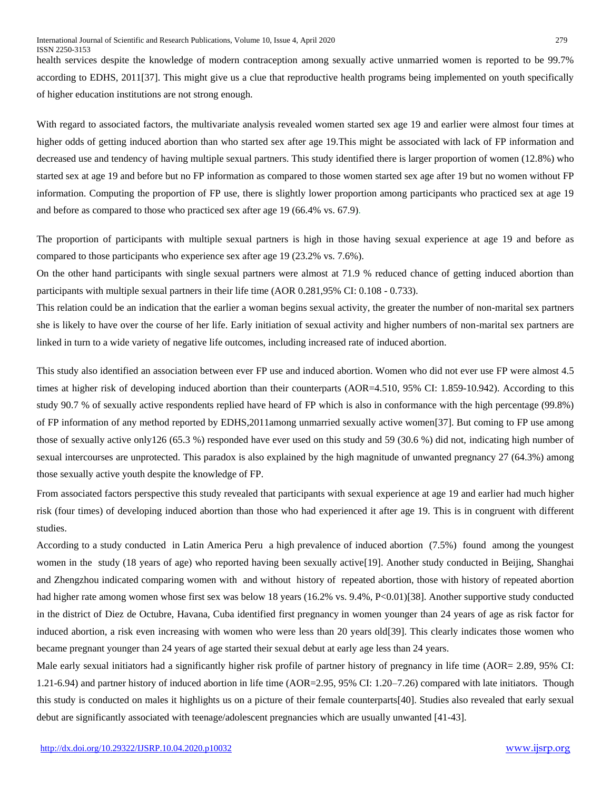health services despite the knowledge of modern contraception among sexually active unmarried women is reported to be 99.7% according to EDHS, 2011[37]. This might give us a clue that reproductive health programs being implemented on youth specifically of higher education institutions are not strong enough.

With regard to associated factors, the multivariate analysis revealed women started sex age 19 and earlier were almost four times at higher odds of getting induced abortion than who started sex after age 19.This might be associated with lack of FP information and decreased use and tendency of having multiple sexual partners. This study identified there is larger proportion of women (12.8%) who started sex at age 19 and before but no FP information as compared to those women started sex age after 19 but no women without FP information. Computing the proportion of FP use, there is slightly lower proportion among participants who practiced sex at age 19 and before as compared to those who practiced sex after age 19 (66.4% vs. 67.9).

The proportion of participants with multiple sexual partners is high in those having sexual experience at age 19 and before as compared to those participants who experience sex after age 19 (23.2% vs. 7.6%).

On the other hand participants with single sexual partners were almost at 71.9 % reduced chance of getting induced abortion than participants with multiple sexual partners in their life time (AOR 0.281,95% CI: 0.108 - 0.733).

This relation could be an indication that the earlier a woman begins sexual activity, the greater the number of non-marital sex partners she is likely to have over the course of her life. Early initiation of sexual activity and higher numbers of non-marital sex partners are linked in turn to a wide variety of negative life outcomes, including increased rate of induced abortion.

This study also identified an association between ever FP use and induced abortion. Women who did not ever use FP were almost 4.5 times at higher risk of developing induced abortion than their counterparts (AOR=4.510, 95% CI: 1.859-10.942). According to this study 90.7 % of sexually active respondents replied have heard of FP which is also in conformance with the high percentage (99.8%) of FP information of any method reported by EDHS,2011among unmarried sexually active women[37]. But coming to FP use among those of sexually active only126 (65.3 %) responded have ever used on this study and 59 (30.6 %) did not, indicating high number of sexual intercourses are unprotected. This paradox is also explained by the high magnitude of unwanted pregnancy 27 (64.3%) among those sexually active youth despite the knowledge of FP.

From associated factors perspective this study revealed that participants with sexual experience at age 19 and earlier had much higher risk (four times) of developing induced abortion than those who had experienced it after age 19. This is in congruent with different studies.

According to a study conducted in Latin America Peru a high prevalence of induced abortion (7.5%) found among the youngest women in the study (18 years of age) who reported having been sexually active[19]. Another study conducted in Beijing, Shanghai and Zhengzhou indicated comparing women with and without history of repeated abortion, those with history of repeated abortion had higher rate among women whose first sex was below 18 years (16.2% vs. 9.4%, P<0.01)[38]. Another supportive study conducted in the district of Diez de Octubre, Havana, Cuba identified first [pregnancy](http://europepmc.org/abstract/med/9670788/?whatizit_url_go_term=http://www.ebi.ac.uk/ego/GTerm?id=GO:0007565) in women younger than 24 years of age as risk factor for induced abortion, a risk even increasing with women who were less than 20 years old[39]. This clearly indicates those women who became pregnant younger than 24 years of age started their sexual debut at early age less than 24 years.

Male early sexual initiators had a significantly higher risk profile of partner history of pregnancy in life time (AOR= 2.89, 95% CI: 1.21-6.94) and partner history of induced abortion in life time (AOR=2.95, 95% CI: 1.20–7.26) compared with late initiators. Though this study is conducted on males it highlights us on a picture of their female counterparts[40]. Studies also revealed that early sexual debut are significantly associated with teenage/adolescent pregnancies which are usually unwanted [41-43].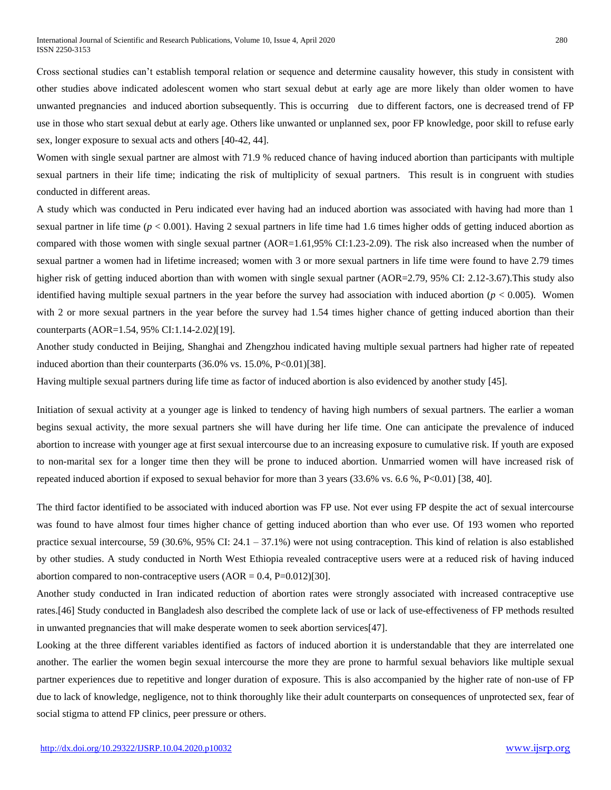Cross sectional studies can't establish temporal relation or sequence and determine causality however, this study in consistent with other studies above indicated adolescent women who start sexual debut at early age are more likely than older women to have unwanted pregnancies and induced abortion subsequently. This is occurring due to different factors, one is decreased trend of FP use in those who start sexual debut at early age. Others like unwanted or unplanned sex, poor FP knowledge, poor skill to refuse early sex, longer exposure to sexual acts and others [40-42, 44].

Women with single sexual partner are almost with 71.9 % reduced chance of having induced abortion than participants with multiple sexual partners in their life time; indicating the risk of multiplicity of sexual partners. This result is in congruent with studies conducted in different areas.

A study which was conducted in Peru indicated ever having had an induced abortion was associated with having had more than 1 sexual partner in life time (*p* < 0.001). Having 2 sexual partners in life time had 1.6 times higher odds of getting induced abortion as compared with those women with single sexual partner (AOR=1.61,95% CI:1.23-2.09). The risk also increased when the number of sexual partner a women had in lifetime increased; women with 3 or more sexual partners in life time were found to have 2.79 times higher risk of getting induced abortion than with women with single sexual partner (AOR=2.79, 95% CI: 2.12-3.67). This study also identified having multiple sexual partners in the year before the survey had association with induced abortion (*p* < 0.005). Women with 2 or more sexual partners in the year before the survey had 1.54 times higher chance of getting induced abortion than their counterparts (AOR=1.54, 95% CI:1.14-2.02)[19].

Another study conducted in Beijing, Shanghai and Zhengzhou indicated having multiple sexual partners had higher rate of repeated induced abortion than their counterparts (36.0% vs. 15.0%, P<0.01)[38].

Having multiple sexual partners during life time as factor of induced abortion is also evidenced by another study [45].

Initiation of sexual activity at a younger age is linked to tendency of having high numbers of sexual partners. The earlier a woman begins sexual activity, the more sexual partners she will have during her life time. One can anticipate the prevalence of induced abortion to increase with younger age at first sexual intercourse due to an increasing exposure to cumulative risk. If youth are exposed to non-marital sex for a longer time then they will be prone to induced abortion. Unmarried women will have increased risk of repeated induced abortion if exposed to sexual [behavior](http://europepmc.org/abstract/med/17172105/?whatizit_url_go_term=http://www.ebi.ac.uk/ego/GTerm?id=GO:0007610) for more than 3 years (33.6% vs. 6.6 %, P<0.01) [38, 40].

The third factor identified to be associated with induced abortion was FP use. Not ever using FP despite the act of sexual intercourse was found to have almost four times higher chance of getting induced abortion than who ever use. Of 193 women who reported practice sexual intercourse, 59 (30.6%, 95% CI: 24.1 – 37.1%) were not using contraception. This kind of relation is also established by other studies. A study conducted in North West Ethiopia revealed contraceptive users were at a reduced risk of having induced abortion compared to non-contraceptive users  $(AOR = 0.4, P=0.012)[30]$ .

Another study conducted in Iran indicated reduction of abortion rates were strongly associated with increased contraceptive use rates.[46] Study conducted in Bangladesh also described the complete lack of use or lack of use-effectiveness of FP methods resulted in unwanted pregnancies that will make desperate women to seek abortion services[47].

Looking at the three different variables identified as factors of induced abortion it is understandable that they are interrelated one another. The earlier the women begin sexual intercourse the more they are prone to harmful sexual behaviors like multiple sexual partner experiences due to repetitive and longer duration of exposure. This is also accompanied by the higher rate of non-use of FP due to lack of knowledge, negligence, not to think thoroughly like their adult counterparts on consequences of unprotected sex, fear of social stigma to attend FP clinics, peer pressure or others.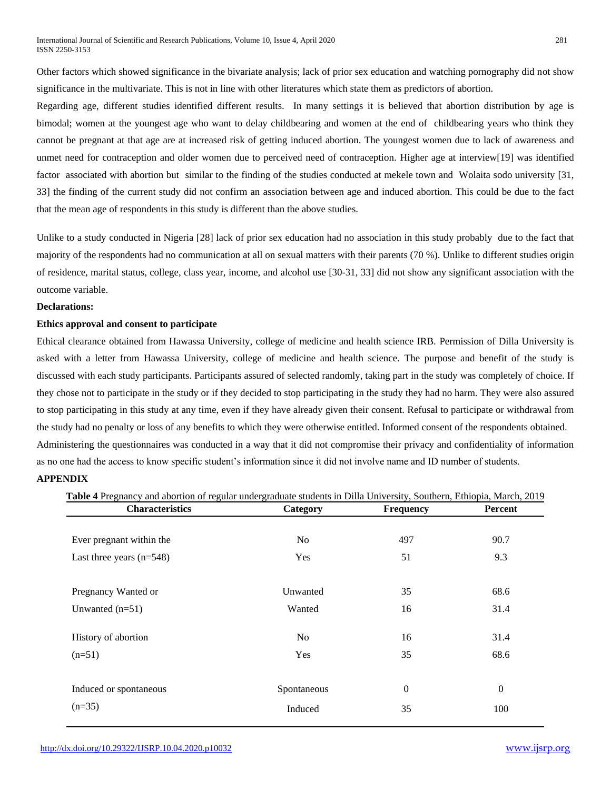Other factors which showed significance in the bivariate analysis; lack of prior sex education and watching pornography did not show significance in the multivariate. This is not in line with other literatures which state them as predictors of abortion.

Regarding age, different studies identified different results. In many settings it is believed that abortion distribution by age is bimodal; women at the youngest age who want to delay childbearing and women at the end of childbearing years who think they cannot be pregnant at that age are at increased risk of getting induced abortion. The youngest women due to lack of awareness and unmet need for contraception and older women due to perceived need of contraception. Higher age at interview[19] was identified factor associated with abortion but similar to the finding of the studies conducted at mekele town and Wolaita sodo university [31, 33] the finding of the current study did not confirm an association between age and induced abortion. This could be due to the fact that the mean age of respondents in this study is different than the above studies.

Unlike to a study conducted in Nigeria [28] lack of prior sex education had no association in this study probably due to the fact that majority of the respondents had no communication at all on sexual matters with their parents (70 %). Unlike to different studies origin of residence, marital status, college, class year, income, and alcohol use [30-31, 33] did not show any significant association with the outcome variable.

#### **Declarations:**

#### **Ethics approval and consent to participate**

Ethical clearance obtained from Hawassa University, college of medicine and health science IRB. Permission of Dilla University is asked with a letter from Hawassa University, college of medicine and health science. The purpose and benefit of the study is discussed with each study participants. Participants assured of selected randomly, taking part in the study was completely of choice. If they chose not to participate in the study or if they decided to stop participating in the study they had no harm. They were also assured to stop participating in this study at any time, even if they have already given their consent. Refusal to participate or withdrawal from the study had no penalty or loss of any benefits to which they were otherwise entitled. Informed consent of the respondents obtained. Administering the questionnaires was conducted in a way that it did not compromise their privacy and confidentiality of information as no one had the access to know specific student's information since it did not involve name and ID number of students.

# **APPENDIX**

| <b>Characteristics</b>     | Category       | <b>Frequency</b> | <b>Percent</b> |  |
|----------------------------|----------------|------------------|----------------|--|
| Ever pregnant within the   | N <sub>o</sub> | 497              | 90.7           |  |
| Last three years $(n=548)$ | Yes            | 51               | 9.3            |  |
| Pregnancy Wanted or        | Unwanted       | 35               | 68.6           |  |
| Unwanted $(n=51)$          | Wanted         | 16               | 31.4           |  |
| History of abortion        | N <sub>o</sub> | 16               | 31.4           |  |
| $(n=51)$                   | Yes            | 35               | 68.6           |  |
| Induced or spontaneous     | Spontaneous    | $\mathbf{0}$     | $\theta$       |  |
| $(n=35)$                   | Induced        | 35               | 100            |  |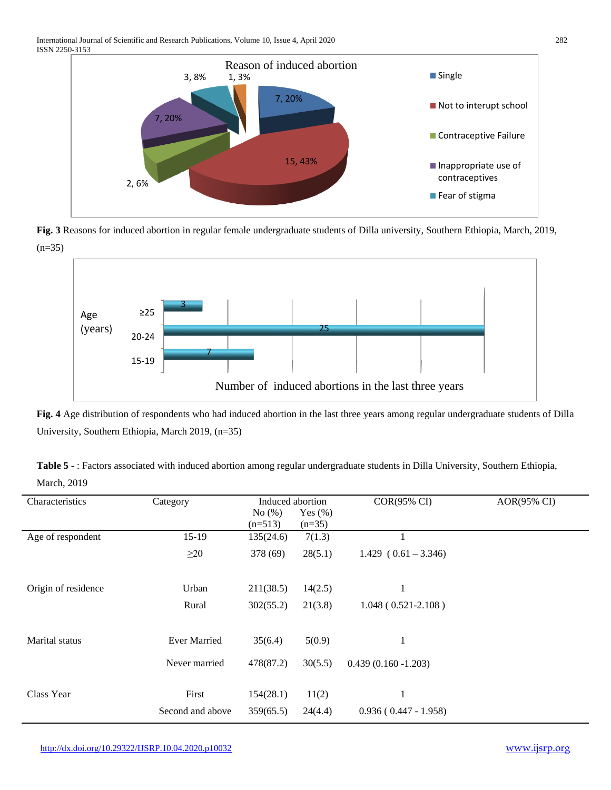

**Fig. 3** Reasons for induced abortion in regular female undergraduate students of Dilla university, Southern Ethiopia, March, 2019,  $(n=35)$ 



**Fig. 4** Age distribution of respondents who had induced abortion in the last three years among regular undergraduate students of Dilla University, Southern Ethiopia, March 2019, (n=35)

| Table 5 -: Factors associated with induced abortion among regular undergraduate students in Dilla University, Southern Ethiopia, |  |
|----------------------------------------------------------------------------------------------------------------------------------|--|
| <b>March, 2019</b>                                                                                                               |  |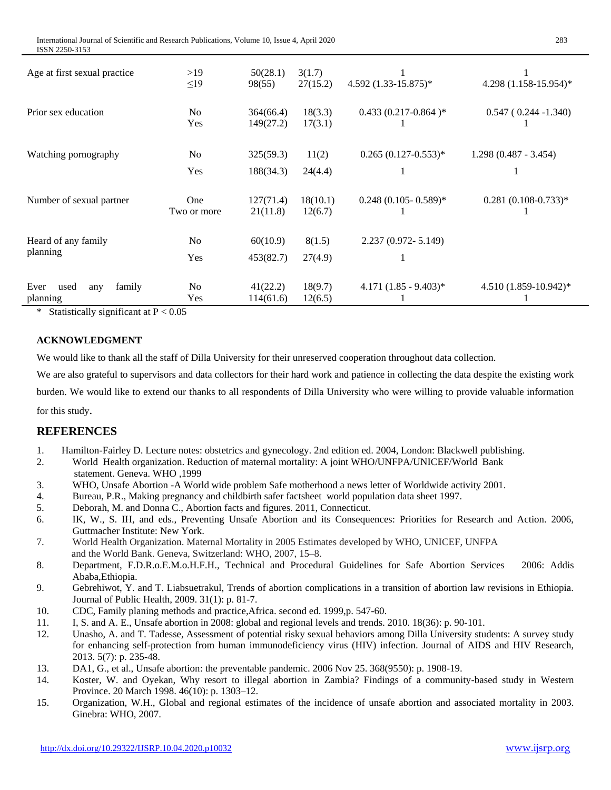| Age at first sexual practice              | >19<br>$\leq$ 19      | 50(28.1)<br>98(55)     | 3(1.7)<br>27(15.2)  | $4.592 (1.33 - 15.875)^*$ | 4.298 (1.158-15.954)*        |
|-------------------------------------------|-----------------------|------------------------|---------------------|---------------------------|------------------------------|
| Prior sex education                       | N <sub>0</sub><br>Yes | 364(66.4)<br>149(27.2) | 18(3.3)<br>17(3.1)  | $0.433(0.217-0.864)*$     | $0.547(0.244 - 1.340)$       |
| Watching pornography                      | N <sub>0</sub><br>Yes | 325(59.3)<br>188(34.3) | 11(2)<br>24(4.4)    | $0.265(0.127-0.553)*$     | $1.298(0.487 - 3.454)$<br>-1 |
| Number of sexual partner                  | One<br>Two or more    | 127(71.4)<br>21(11.8)  | 18(10.1)<br>12(6.7) | $0.248$ (0.105- 0.589)*   | $0.281(0.108-0.733)*$        |
| Heard of any family<br>planning           | No<br>Yes             | 60(10.9)<br>453(82.7)  | 8(1.5)<br>27(4.9)   | 2.237 (0.972-5.149)       |                              |
| Ever<br>family<br>used<br>any<br>planning | No<br>Yes             | 41(22.2)<br>114(61.6)  | 18(9.7)<br>12(6.5)  | $4.171(1.85 - 9.403)^*$   | 4.510 (1.859-10.942)*        |

\* Statistically significant at  $P < 0.05$ 

#### **ACKNOWLEDGMENT**

We would like to thank all the staff of Dilla University for their unreserved cooperation throughout data collection.

We are also grateful to supervisors and data collectors for their hard work and patience in collecting the data despite the existing work

burden. We would like to extend our thanks to all respondents of Dilla University who were willing to provide valuable information

for this study.

# **REFERENCES**

- 1. Hamilton-Fairley D. Lecture notes: obstetrics and gynecology. 2nd edition ed. 2004, London: Blackwell publishing.
- 2. World Health organization. Reduction of maternal mortality: A joint WHO/UNFPA/UNICEF/World Bank statement. Geneva. WHO ,1999
- 3. WHO, Unsafe Abortion -A World wide problem Safe motherhood a news letter of Worldwide activity 2001.
- 4. Bureau, P.R., Making pregnancy and childbirth safer factsheet world population data sheet 1997.
- 5. Deborah, M. and Donna C., Abortion facts and figures. 2011, Connecticut.
- 6. IK, W., S. IH, and eds., Preventing Unsafe Abortion and its Consequences: Priorities for Research and Action. 2006, Guttmacher Institute: New York.
- 7. World Health Organization. Maternal Mortality in 2005 Estimates developed by WHO, UNICEF, UNFPA and the World Bank. Geneva, Switzerland: WHO, 2007, 15–8.
- 8. Department, F.D.R.o.E.M.o.H.F.H., Technical and Procedural Guidelines for Safe Abortion Services 2006: Addis Ababa,Ethiopia.
- 9. Gebrehiwot, Y. and T. Liabsuetrakul, Trends of abortion complications in a transition of abortion law revisions in Ethiopia. Journal of Public Health, 2009. 31(1): p. 81-7.
- 10. CDC, Family planing methods and practice,Africa. second ed. 1999,p. 547-60.
- 11. I, S. and A. E., Unsafe abortion in 2008: global and regional levels and trends. 2010. 18(36): p. 90-101.
- 12. Unasho, A. and T. Tadesse, Assessment of potential risky sexual behaviors among Dilla University students: A survey study for enhancing self-protection from human immunodeficiency virus (HIV) infection. Journal of AIDS and HIV Research, 2013. 5(7): p. 235-48.
- 13. DA1, G., et al., Unsafe abortion: the preventable pandemic. 2006 Nov 25. 368(9550): p. 1908-19.
- 14. Koster, W. and Oyekan, Why resort to illegal abortion in Zambia? Findings of a community-based study in Western Province. 20 March 1998. 46(10): p. 1303–12.
- 15. Organization, W.H., Global and regional estimates of the incidence of unsafe abortion and associated mortality in 2003. Ginebra: WHO, 2007.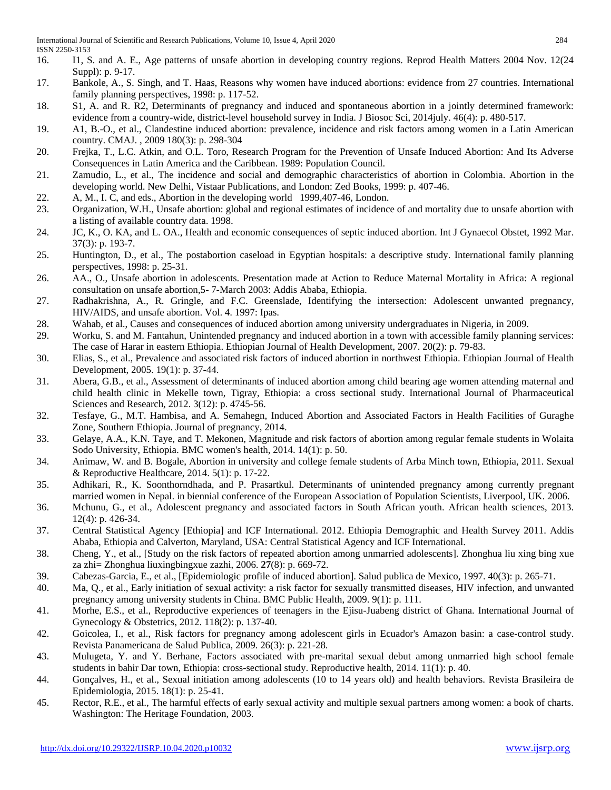- 16. I1, S. and A. E., Age patterns of unsafe abortion in developing country regions. Reprod Health Matters 2004 Nov. 12(24 Suppl): p. 9-17.
- 17. Bankole, A., S. Singh, and T. Haas, Reasons why women have induced abortions: evidence from 27 countries. International family planning perspectives, 1998: p. 117-52.
- 18. S1, A. and R. R2, Determinants of pregnancy and induced and spontaneous abortion in a jointly determined framework: evidence from a country-wide, district-level household survey in India. J Biosoc Sci, 2014july. 46(4): p. 480-517.
- 19. A1, B.-O., et al., Clandestine induced abortion: prevalence, incidence and risk factors among women in a Latin American country. CMAJ. , 2009 180(3): p. 298-304
- 20. Frejka, T., L.C. Atkin, and O.L. Toro, Research Program for the Prevention of Unsafe Induced Abortion: And Its Adverse Consequences in Latin America and the Caribbean. 1989: Population Council.
- 21. Zamudio, L., et al., The incidence and social and demographic characteristics of abortion in Colombia. Abortion in the developing world. New Delhi, Vistaar Publications, and London: Zed Books, 1999: p. 407-46.
- 22. A, M., I. C, and eds., Abortion in the developing world 1999,407-46, London.
- 23. Organization, W.H., Unsafe abortion: global and regional estimates of incidence of and mortality due to unsafe abortion with a listing of available country data. 1998.
- 24. JC, K., O. KA, and L. OA., Health and economic consequences of septic induced abortion. Int J Gynaecol Obstet, 1992 Mar. 37(3): p. 193-7.
- 25. Huntington, D., et al., The postabortion caseload in Egyptian hospitals: a descriptive study. International family planning perspectives, 1998: p. 25-31.
- 26. AA., O., Unsafe abortion in adolescents. Presentation made at Action to Reduce Maternal Mortality in Africa: A regional consultation on unsafe abortion,5- 7-March 2003: Addis Ababa, Ethiopia.
- 27. Radhakrishna, A., R. Gringle, and F.C. Greenslade, Identifying the intersection: Adolescent unwanted pregnancy, HIV/AIDS, and unsafe abortion. Vol. 4. 1997: Ipas.
- 28. Wahab, et al., Causes and consequences of induced abortion among university undergraduates in Nigeria, in 2009.
- 29. Worku, S. and M. Fantahun, Unintended pregnancy and induced abortion in a town with accessible family planning services: The case of Harar in eastern Ethiopia. Ethiopian Journal of Health Development, 2007. 20(2): p. 79-83.
- 30. Elias, S., et al., Prevalence and associated risk factors of induced abortion in northwest Ethiopia. Ethiopian Journal of Health Development, 2005. 19(1): p. 37-44.
- 31. Abera, G.B., et al., Assessment of determinants of induced abortion among child bearing age women attending maternal and child health clinic in Mekelle town, Tigray, Ethiopia: a cross sectional study. International Journal of Pharmaceutical Sciences and Research, 2012. 3(12): p. 4745-56.
- 32. Tesfaye, G., M.T. Hambisa, and A. Semahegn, Induced Abortion and Associated Factors in Health Facilities of Guraghe Zone, Southern Ethiopia. Journal of pregnancy, 2014.
- 33. Gelaye, A.A., K.N. Taye, and T. Mekonen, Magnitude and risk factors of abortion among regular female students in Wolaita Sodo University, Ethiopia. BMC women's health, 2014. 14(1): p. 50.
- 34. Animaw, W. and B. Bogale, Abortion in university and college female students of Arba Minch town, Ethiopia, 2011. Sexual & Reproductive Healthcare, 2014. 5(1): p. 17-22.
- 35. Adhikari, R., K. Soonthorndhada, and P. Prasartkul. Determinants of unintended pregnancy among currently pregnant married women in Nepal. in biennial conference of the European Association of Population Scientists, Liverpool, UK. 2006.
- 36. Mchunu, G., et al., Adolescent pregnancy and associated factors in South African youth. African health sciences, 2013. 12(4): p. 426-34.
- 37. Central Statistical Agency [Ethiopia] and ICF International. 2012. Ethiopia Demographic and Health Survey 2011. Addis Ababa, Ethiopia and Calverton, Maryland, USA: Central Statistical Agency and ICF International.
- 38. Cheng, Y., et al., [Study on the risk factors of repeated abortion among unmarried adolescents]. Zhonghua liu xing bing xue za zhi= Zhonghua liuxingbingxue zazhi, 2006. **27**(8): p. 669-72.
- 39. Cabezas-Garcia, E., et al., [Epidemiologic profile of induced abortion]. Salud publica de Mexico, 1997. 40(3): p. 265-71.
- 40. Ma, Q., et al., Early initiation of sexual activity: a risk factor for sexually transmitted diseases, HIV infection, and unwanted pregnancy among university students in China. BMC Public Health, 2009. 9(1): p. 111.
- 41. Morhe, E.S., et al., Reproductive experiences of teenagers in the Ejisu-Juabeng district of Ghana. International Journal of Gynecology & Obstetrics, 2012. 118(2): p. 137-40.
- 42. Goicolea, I., et al., Risk factors for pregnancy among adolescent girls in Ecuador's Amazon basin: a case-control study. Revista Panamericana de Salud Publica, 2009. 26(3): p. 221-28.
- 43. Mulugeta, Y. and Y. Berhane, Factors associated with pre-marital sexual debut among unmarried high school female students in bahir Dar town, Ethiopia: cross-sectional study. Reproductive health, 2014. 11(1): p. 40.
- 44. Gonçalves, H., et al., Sexual initiation among adolescents (10 to 14 years old) and health behaviors. Revista Brasileira de Epidemiologia, 2015. 18(1): p. 25-41.
- 45. Rector, R.E., et al., The harmful effects of early sexual activity and multiple sexual partners among women: a book of charts. Washington: The Heritage Foundation, 2003.